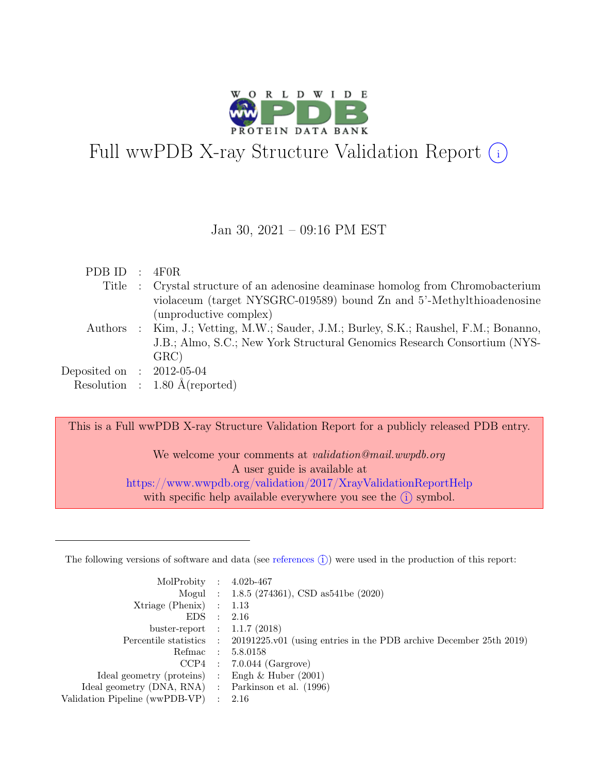

# Full wwPDB X-ray Structure Validation Report  $(i)$

#### Jan 30, 2021 – 09:16 PM EST

| $PDBID$ :                   | 4F0R                                                                                  |
|-----------------------------|---------------------------------------------------------------------------------------|
|                             | Title : Crystal structure of an adenosine deaminase homolog from Chromobacterium      |
|                             | violaceum (target NYSGRC-019589) bound Zn and 5'-Methylthioadenosine                  |
|                             | (unproductive complex)                                                                |
|                             | Authors : Kim, J.; Vetting, M.W.; Sauder, J.M.; Burley, S.K.; Raushel, F.M.; Bonanno, |
|                             | J.B.; Almo, S.C.; New York Structural Genomics Research Consortium (NYS-              |
|                             | GRC                                                                                   |
| Deposited on : $2012-05-04$ |                                                                                       |
|                             | Resolution : $1.80 \text{ Å}$ (reported)                                              |

This is a Full wwPDB X-ray Structure Validation Report for a publicly released PDB entry.

We welcome your comments at validation@mail.wwpdb.org A user guide is available at <https://www.wwpdb.org/validation/2017/XrayValidationReportHelp> with specific help available everywhere you see the  $(i)$  symbol.

The following versions of software and data (see [references](https://www.wwpdb.org/validation/2017/XrayValidationReportHelp#references)  $(i)$ ) were used in the production of this report:

| MolProbity : $4.02b-467$                            |                                                                                            |
|-----------------------------------------------------|--------------------------------------------------------------------------------------------|
|                                                     | Mogul : 1.8.5 (274361), CSD as541be (2020)                                                 |
| $Xtriangle (Phenix)$ : 1.13                         |                                                                                            |
| EDS : 2.16                                          |                                                                                            |
| buster-report : $1.1.7$ (2018)                      |                                                                                            |
|                                                     | Percentile statistics : 20191225.v01 (using entries in the PDB archive December 25th 2019) |
|                                                     | Refmac : 5.8.0158                                                                          |
|                                                     | $CCP4$ : 7.0.044 (Gargrove)                                                                |
| Ideal geometry (proteins) : Engh $\&$ Huber (2001)  |                                                                                            |
| Ideal geometry (DNA, RNA) : Parkinson et al. (1996) |                                                                                            |
| Validation Pipeline (wwPDB-VP) : $2.16$             |                                                                                            |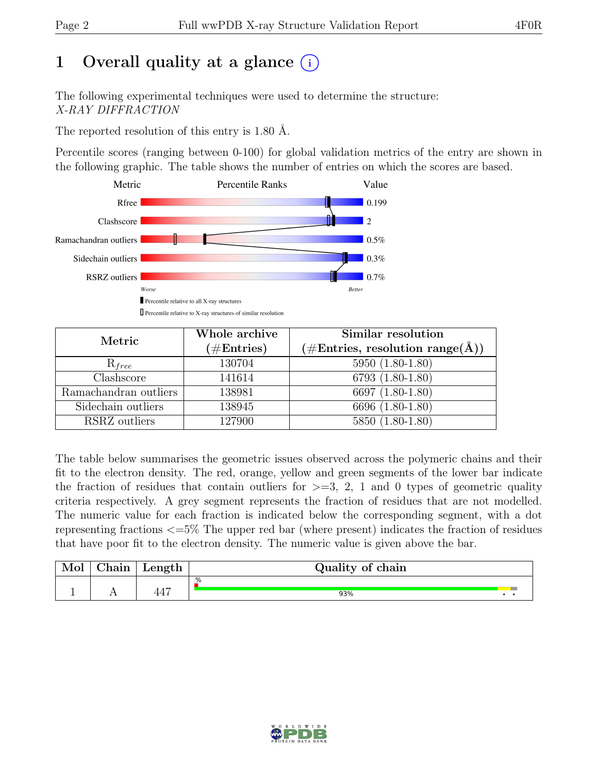# 1 Overall quality at a glance  $(i)$

The following experimental techniques were used to determine the structure: X-RAY DIFFRACTION

The reported resolution of this entry is 1.80 Å.

Percentile scores (ranging between 0-100) for global validation metrics of the entry are shown in the following graphic. The table shows the number of entries on which the scores are based.



| Metric                | Whole archive | Similar resolution                                        |
|-----------------------|---------------|-----------------------------------------------------------|
|                       | $(\#Entries)$ | $(\# \text{Entries}, \text{ resolution range}(\text{A}))$ |
| $R_{free}$            | 130704        | $5950 (1.80 - 1.80)$                                      |
| Clashscore            | 141614        | 6793 (1.80-1.80)                                          |
| Ramachandran outliers | 138981        | 6697 (1.80-1.80)                                          |
| Sidechain outliers    | 138945        | 6696 (1.80-1.80)                                          |
| RSRZ outliers         | 127900        | 5850 (1.80-1.80)                                          |

The table below summarises the geometric issues observed across the polymeric chains and their fit to the electron density. The red, orange, yellow and green segments of the lower bar indicate the fraction of residues that contain outliers for  $\geq$ =3, 2, 1 and 0 types of geometric quality criteria respectively. A grey segment represents the fraction of residues that are not modelled. The numeric value for each fraction is indicated below the corresponding segment, with a dot representing fractions <=5% The upper red bar (where present) indicates the fraction of residues that have poor fit to the electron density. The numeric value is given above the bar.

| nin | $\mu$ ength           | Quality of chain |  |  |  |  |  |
|-----|-----------------------|------------------|--|--|--|--|--|
| $-$ | $\overline{A}$<br>44. | .%<br>93%        |  |  |  |  |  |

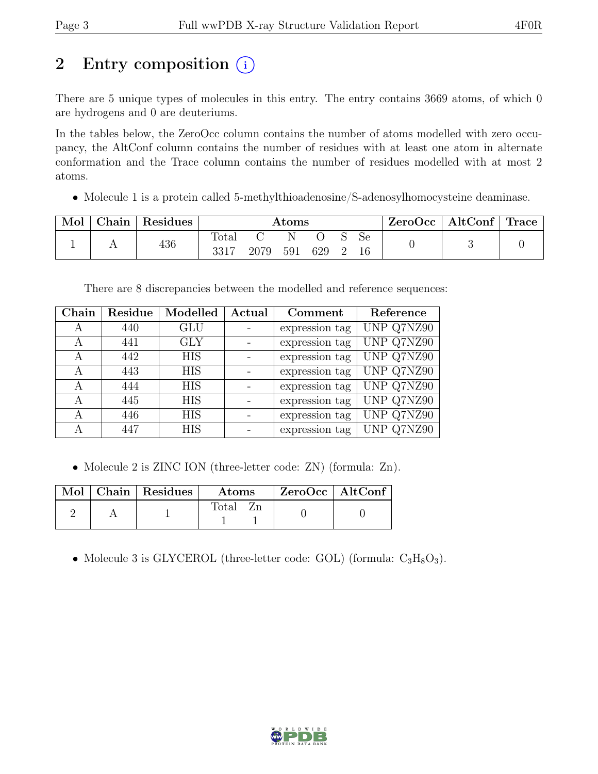# 2 Entry composition  $(i)$

There are 5 unique types of molecules in this entry. The entry contains 3669 atoms, of which 0 are hydrogens and 0 are deuteriums.

In the tables below, the ZeroOcc column contains the number of atoms modelled with zero occupancy, the AltConf column contains the number of residues with at least one atom in alternate conformation and the Trace column contains the number of residues modelled with at most 2 atoms.

• Molecule 1 is a protein called 5-methylthioadenosine/S-adenosylhomocysteine deaminase.

| Mol | $\text{Chain}$ | Residues | $\rm{Atoms}$    |      |     |     | ZeroOcc | AltConf  | Trace |  |  |
|-----|----------------|----------|-----------------|------|-----|-----|---------|----------|-------|--|--|
|     |                | 436      | Total<br>OO 1 . | 2079 | 591 | 629 |         | Se<br>16 |       |  |  |

There are 8 discrepancies between the modelled and reference sequences:

| Chain | Residue | Modelled   | Actual | Comment        | Reference  |
|-------|---------|------------|--------|----------------|------------|
| А     | 440     | <b>GLU</b> |        | expression tag | UNP Q7NZ90 |
| А     | 441     | <b>GLY</b> |        | expression tag | UNP Q7NZ90 |
| А     | 442     | <b>HIS</b> |        | expression tag | UNP Q7NZ90 |
| А     | 443     | <b>HIS</b> |        | expression tag | UNP Q7NZ90 |
| А     | 444     | <b>HIS</b> |        | expression tag | UNP Q7NZ90 |
| А     | 445     | <b>HIS</b> |        | expression tag | UNP Q7NZ90 |
| А     | 446     | <b>HIS</b> |        | expression tag | UNP Q7NZ90 |
| А     | 447     | <b>HIS</b> |        | expression tag | UNP Q7NZ90 |

• Molecule 2 is ZINC ION (three-letter code: ZN) (formula: Zn).

|  | Mol   Chain   Residues | $\rm{Atoms}$ | $\mid$ ZeroOcc $\mid$ AltConf |  |
|--|------------------------|--------------|-------------------------------|--|
|  |                        | Total        |                               |  |

• Molecule 3 is GLYCEROL (three-letter code: GOL) (formula:  $C_3H_8O_3$ ).

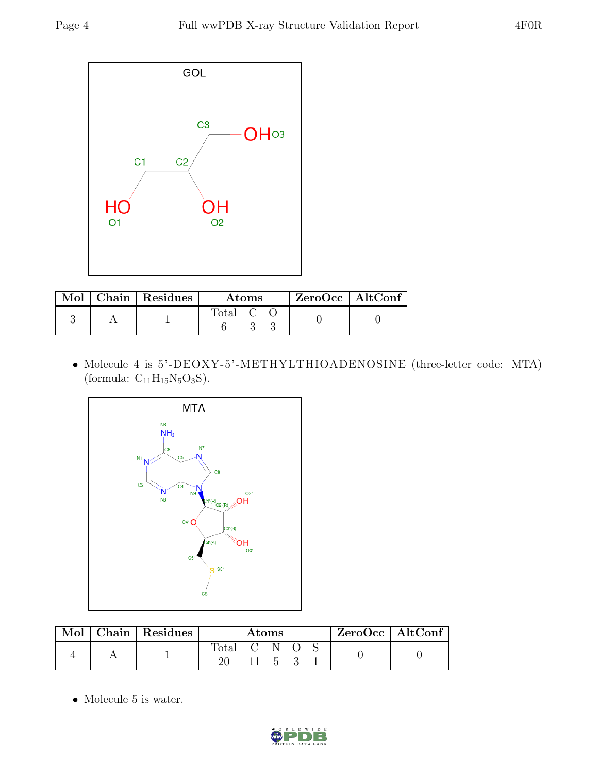

|  | Mol   Chain   Residues | Atoms   |  |  | $ZeroOcc$   AltConf |  |
|--|------------------------|---------|--|--|---------------------|--|
|  |                        | Total C |  |  |                     |  |

• Molecule 4 is 5'-DEOXY-5'-METHYLTHIOADENOSINE (three-letter code: MTA) (formula:  $C_{11}H_{15}N_5O_3S$ ).



| $\operatorname{Mol}$ | Chain   Residues | Atoms       |  |  |  | ZeroOcc   AltConf |  |
|----------------------|------------------|-------------|--|--|--|-------------------|--|
|                      |                  | Total C N O |  |  |  |                   |  |

• Molecule 5 is water.

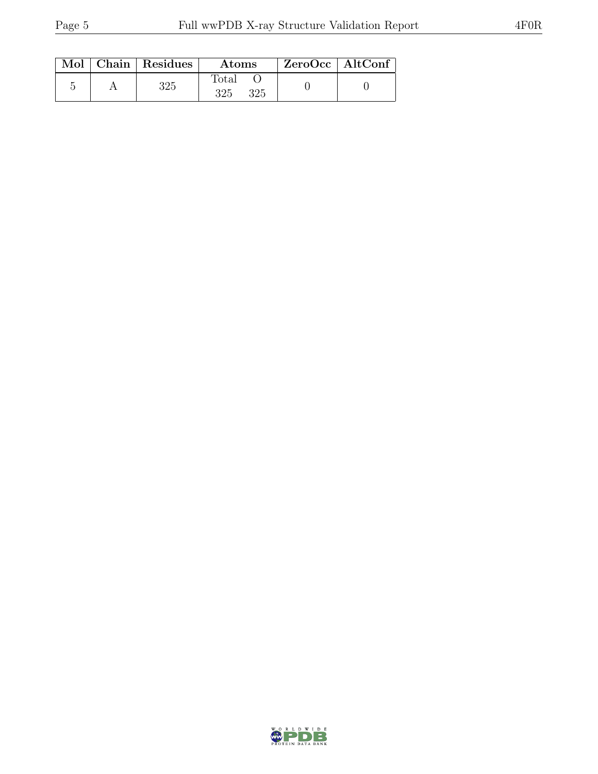|  | Mol   Chain   Residues  <br>Atoms |                     | ZeroOcc   AltConf |  |
|--|-----------------------------------|---------------------|-------------------|--|
|  | 325                               | Total<br>325<br>325 |                   |  |

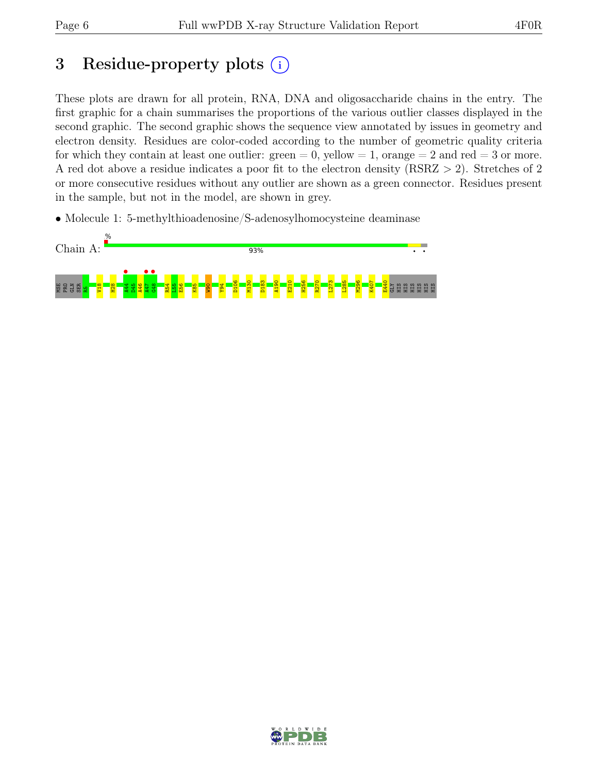# 3 Residue-property plots  $(i)$

These plots are drawn for all protein, RNA, DNA and oligosaccharide chains in the entry. The first graphic for a chain summarises the proportions of the various outlier classes displayed in the second graphic. The second graphic shows the sequence view annotated by issues in geometry and electron density. Residues are color-coded according to the number of geometric quality criteria for which they contain at least one outlier:  $green = 0$ , yellow  $= 1$ , orange  $= 2$  and red  $= 3$  or more. A red dot above a residue indicates a poor fit to the electron density (RSRZ > 2). Stretches of 2 or more consecutive residues without any outlier are shown as a green connector. Residues present in the sample, but not in the model, are shown in grey.

• Molecule 1: 5-methylthioadenosine/S-adenosylhomocysteine deaminase



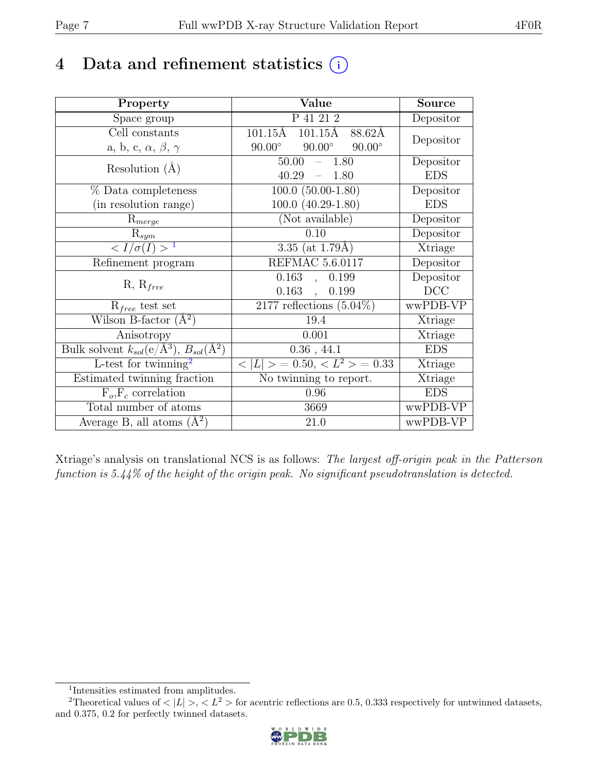# 4 Data and refinement statistics  $(i)$

| Property                                                             | Value                                           | <b>Source</b> |
|----------------------------------------------------------------------|-------------------------------------------------|---------------|
| Space group                                                          | P 41 21 2                                       | Depositor     |
| Cell constants                                                       | $101.15\text{\AA}$ $101.15\text{\AA}$<br>88.62Å |               |
| a, b, c, $\alpha$ , $\beta$ , $\gamma$                               | $90.00^\circ$<br>$90.00^\circ$<br>$90.00^\circ$ | Depositor     |
| Resolution $(A)$                                                     | 50.00<br>1.80<br>$\equiv$                       | Depositor     |
|                                                                      | 40.29<br>1.80<br>$\equiv$                       | <b>EDS</b>    |
| % Data completeness                                                  | $100.0 (50.00 - 1.80)$                          | Depositor     |
| (in resolution range)                                                | $100.0 (40.29-1.80)$                            | <b>EDS</b>    |
| $R_{merge}$                                                          | (Not available)                                 | Depositor     |
| $\mathrm{R}_{sym}$                                                   | 0.10                                            | Depositor     |
| $\langle I/\sigma(I)\rangle^{-1}$                                    | 3.35 (at $1.79\text{\AA}$ )                     | Xtriage       |
| Refinement program                                                   | <b>REFMAC 5.6.0117</b>                          | Depositor     |
|                                                                      | 0.163<br>0.199<br>$\ddot{\phantom{0}}$          | Depositor     |
| $R, R_{free}$                                                        | $0.163$ ,<br>0.199                              | DCC           |
| $R_{free}$ test set                                                  | $2177$ reflections $(5.04\%)$                   | wwPDB-VP      |
| Wilson B-factor $(A^2)$                                              | 19.4                                            | Xtriage       |
| Anisotropy                                                           | 0.001                                           | Xtriage       |
| Bulk solvent $k_{sol}(e/\mathring{A}^3)$ , $B_{sol}(\mathring{A}^2)$ | $0.36$ , 44.1                                   | <b>EDS</b>    |
| L-test for $\mathrm{twinning}^2$                                     | $< L >$ = 0.50, $< L^2 >$ = 0.33                | Xtriage       |
| Estimated twinning fraction                                          | No twinning to report.                          | Xtriage       |
| $\overline{F_o,F_c}$ correlation                                     | 0.96                                            | <b>EDS</b>    |
| Total number of atoms                                                | 3669                                            | wwPDB-VP      |
| Average B, all atoms $(A^2)$                                         | 21.0                                            | wwPDB-VP      |

Xtriage's analysis on translational NCS is as follows: The largest off-origin peak in the Patterson function is 5.44% of the height of the origin peak. No significant pseudotranslation is detected.

<sup>&</sup>lt;sup>2</sup>Theoretical values of  $\langle |L| \rangle$ ,  $\langle L^2 \rangle$  for acentric reflections are 0.5, 0.333 respectively for untwinned datasets, and 0.375, 0.2 for perfectly twinned datasets.



<span id="page-6-1"></span><span id="page-6-0"></span><sup>1</sup> Intensities estimated from amplitudes.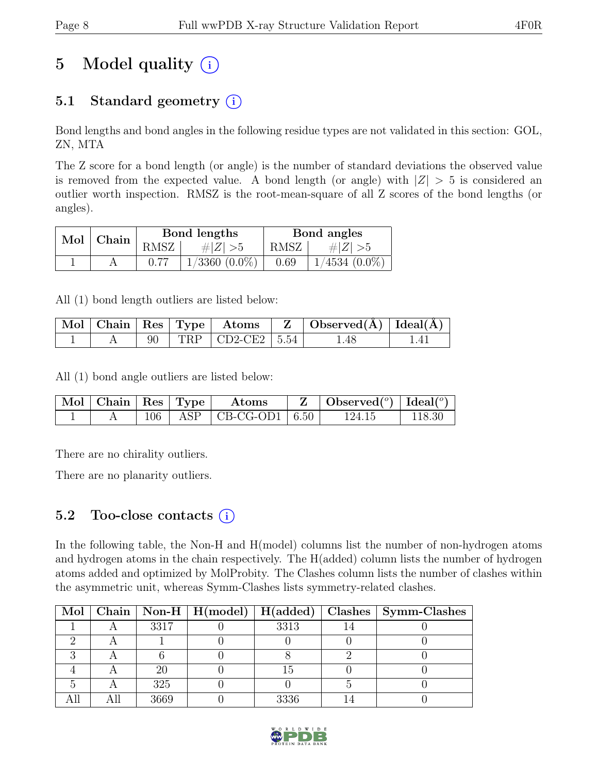# 5 Model quality  $(i)$

# 5.1 Standard geometry  $(i)$

Bond lengths and bond angles in the following residue types are not validated in this section: GOL, ZN, MTA

The Z score for a bond length (or angle) is the number of standard deviations the observed value is removed from the expected value. A bond length (or angle) with  $|Z| > 5$  is considered an outlier worth inspection. RMSZ is the root-mean-square of all Z scores of the bond lengths (or angles).

| $Mol$   Chain |      | Bond lengths       | Bond angles |                 |  |
|---------------|------|--------------------|-------------|-----------------|--|
|               | RMSZ | $\# Z  > 5$        | RMSZ        | # $ Z  > 5$     |  |
|               | 0.77 | $1/3360$ $(0.0\%)$ | 0.69        | $1/4534(0.0\%)$ |  |

All (1) bond length outliers are listed below:

|  |  |                           | $\mid$ Mol $\mid$ Chain $\mid$ Res $\mid$ Type $\mid$ Atoms $\mid$ Z $\mid$ Observed(A) $\mid$ Ideal(A) $\mid$ |  |
|--|--|---------------------------|----------------------------------------------------------------------------------------------------------------|--|
|  |  | 90   TRP   CD2-CE2   5.54 | .48                                                                                                            |  |

All (1) bond angle outliers are listed below:

| $\parallel$ Mol $\parallel$ Chain $\parallel$ Res $\parallel$ Type $\parallel$ |  | $\rm{Atoms}$                   | $\mathbf{Z}$   Observed( $^{\circ}$ )   Ideal( $^{\circ}$ ) |        |
|--------------------------------------------------------------------------------|--|--------------------------------|-------------------------------------------------------------|--------|
|                                                                                |  | $106$   ASP   CB-CG-OD1   6.50 | 124.15                                                      | 118.30 |

There are no chirality outliers.

There are no planarity outliers.

### 5.2 Too-close contacts  $(i)$

In the following table, the Non-H and H(model) columns list the number of non-hydrogen atoms and hydrogen atoms in the chain respectively. The H(added) column lists the number of hydrogen atoms added and optimized by MolProbity. The Clashes column lists the number of clashes within the asymmetric unit, whereas Symm-Clashes lists symmetry-related clashes.

|  |      |      | Mol   Chain   Non-H   H(model)   H(added)   Clashes   Symm-Clashes |
|--|------|------|--------------------------------------------------------------------|
|  | 3317 | 3313 |                                                                    |
|  |      |      |                                                                    |
|  |      |      |                                                                    |
|  |      | L5   |                                                                    |
|  | 325  |      |                                                                    |
|  | 3669 | 3336 |                                                                    |

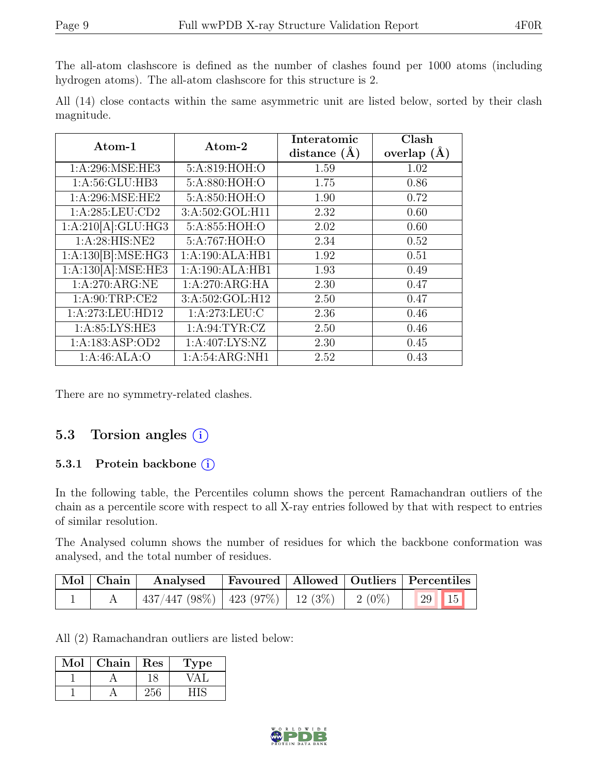The all-atom clashscore is defined as the number of clashes found per 1000 atoms (including hydrogen atoms). The all-atom clashscore for this structure is 2.

All (14) close contacts within the same asymmetric unit are listed below, sorted by their clash magnitude.

| $\rm{Atom-1}$      | $Atom-2$         | Interatomic<br>distance $(A)$ | Clash<br>overlap $(\AA)$ |
|--------------------|------------------|-------------------------------|--------------------------|
| 1: A:296: MSE: HE3 | 5:A:819:HOH:O    | 1.59                          | 1.02                     |
| 1:A:56:GLU:HB3     | 5:A:880:HOH:O    | 1.75                          | 0.86                     |
| 1: A:296: MSE: HE2 | 5:A:850:HOH:O    | 1.90                          | 0.72                     |
| 1:A:285:LEU:CD2    | 3:A:502:GOL:H11  | 2.32                          | 0.60                     |
| 1:A:210[A]:GLU:HG3 | 5:A:855:HOH:O    | 2.02                          | 0.60                     |
| 1: A:28: HIS: NE2  | 5:A:767:HOH:O    | 2.34                          | 0.52                     |
| 1:A:130[B]:MSE:HG3 | 1:A:190:ALA:HB1  | 1.92                          | 0.51                     |
| 1:A:130[A]:MSE:HE3 | 1:A:190:ALA:HB1  | 1.93                          | 0.49                     |
| 1:A:270:ARG:NE     | 1:A:270:ARG:HA   | 2.30                          | 0.47                     |
| 1: A:90:TRP:CE2    | 3:A:502:GOL:H12  | 2.50                          | 0.47                     |
| 1:A:273:LEU:HD12   | 1: A:273:LEU: C  | 2.36                          | 0.46                     |
| 1: A:85: LYS: HE3  | 1: A:94: TYR: CZ | 2.50                          | 0.46                     |
| 1:A:183:ASP:OD2    | 1:A:407:LYS:NZ   | 2.30                          | 0.45                     |
| 1:A:46:ALA:O       | 1:A:54:ARG:NH1   | 2.52                          | 0.43                     |

There are no symmetry-related clashes.

### 5.3 Torsion angles  $(i)$

#### 5.3.1 Protein backbone  $(i)$

In the following table, the Percentiles column shows the percent Ramachandran outliers of the chain as a percentile score with respect to all X-ray entries followed by that with respect to entries of similar resolution.

The Analysed column shows the number of residues for which the backbone conformation was analysed, and the total number of residues.

| $\vert$ Mol $\vert$ Chain $\vert$ | Analysed                                       |  | Favoured   Allowed   Outliers   Percentiles |  |
|-----------------------------------|------------------------------------------------|--|---------------------------------------------|--|
|                                   | $437/447$ (98%)   423 (97%)   12 (3%)   2 (0%) |  | $\frac{1}{29}$ 15                           |  |

All (2) Ramachandran outliers are listed below:

| Mol | Chain | Res | Type |
|-----|-------|-----|------|
|     |       |     |      |
|     |       |     |      |

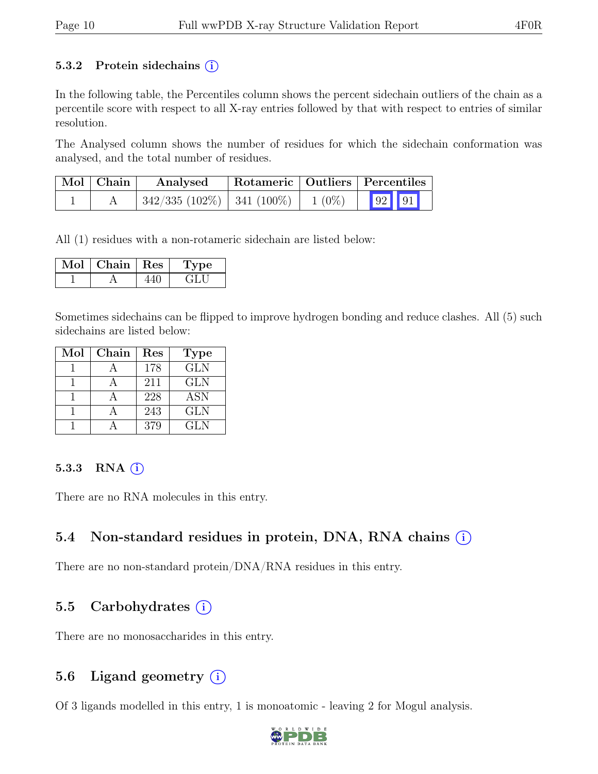#### 5.3.2 Protein sidechains  $(i)$

In the following table, the Percentiles column shows the percent sidechain outliers of the chain as a percentile score with respect to all X-ray entries followed by that with respect to entries of similar resolution.

The Analysed column shows the number of residues for which the sidechain conformation was analysed, and the total number of residues.

| $\mid$ Mol $\mid$ Chain | Analysed                                  | Rotameric   Outliers   Percentiles |       |  |
|-------------------------|-------------------------------------------|------------------------------------|-------|--|
|                         | $342/335$ (102\%)   341 (100\%)   1 (0\%) |                                    | 92 91 |  |

All (1) residues with a non-rotameric sidechain are listed below:

| Mol | Chain   Res | рe     |
|-----|-------------|--------|
|     |             | - 11 - |

Sometimes sidechains can be flipped to improve hydrogen bonding and reduce clashes. All (5) such sidechains are listed below:

| Mol | Chain | Res | <b>Type</b>             |
|-----|-------|-----|-------------------------|
|     |       | 178 | $\overline{\text{GLN}}$ |
|     |       | 211 | <b>GLN</b>              |
|     |       | 228 | <b>ASN</b>              |
|     |       | 243 | <b>GLN</b>              |
|     |       | 379 | <b>GLN</b>              |

#### 5.3.3 RNA  $(i)$

There are no RNA molecules in this entry.

### 5.4 Non-standard residues in protein, DNA, RNA chains (i)

There are no non-standard protein/DNA/RNA residues in this entry.

### 5.5 Carbohydrates  $(i)$

There are no monosaccharides in this entry.

### 5.6 Ligand geometry  $(i)$

Of 3 ligands modelled in this entry, 1 is monoatomic - leaving 2 for Mogul analysis.

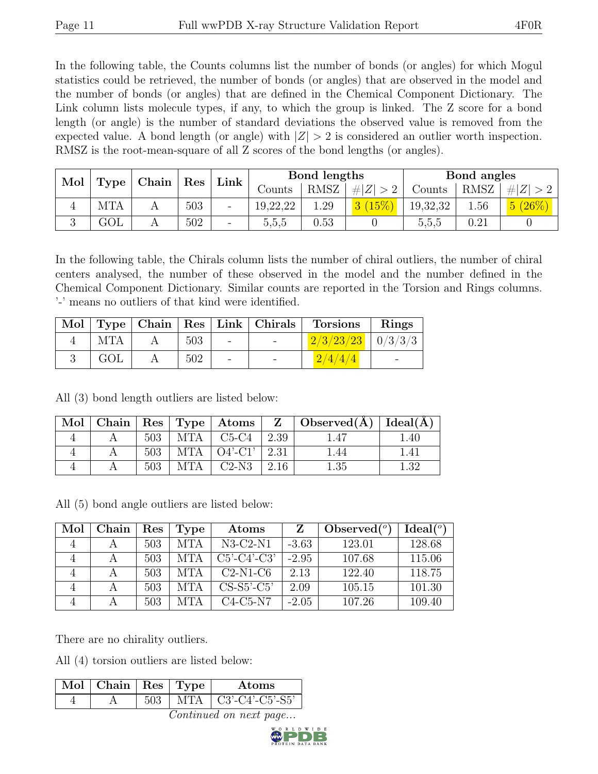In the following table, the Counts columns list the number of bonds (or angles) for which Mogul statistics could be retrieved, the number of bonds (or angles) that are observed in the model and the number of bonds (or angles) that are defined in the Chemical Component Dictionary. The Link column lists molecule types, if any, to which the group is linked. The Z score for a bond length (or angle) is the number of standard deviations the observed value is removed from the expected value. A bond length (or angle) with  $|Z| > 2$  is considered an outlier worth inspection. RMSZ is the root-mean-square of all Z scores of the bond lengths (or angles).

| Mol |      | Chain | Res | Link                     | Bond lengths |      |             | Bond angles |      |        |
|-----|------|-------|-----|--------------------------|--------------|------|-------------|-------------|------|--------|
|     | Type |       |     |                          | Counts       | RMSZ | $\# Z  > 2$ | Counts      | RMSZ | # Z    |
|     | MTA  |       | 503 | -                        | 19,22,22     | 1.29 | 3(15%)      | 19,32,32    | 1.56 | 5(26%) |
|     | GOL  |       | 502 | $\overline{\phantom{0}}$ | 5,5,5        | 0.53 |             | 5,5,5       | 0.21 |        |

In the following table, the Chirals column lists the number of chiral outliers, the number of chiral centers analysed, the number of these observed in the model and the number defined in the Chemical Component Dictionary. Similar counts are reported in the Torsion and Rings columns. '-' means no outliers of that kind were identified.

|            |     |                 |                          | Mol   Type   Chain   Res   Link   Chirals   Torsions | Rings |
|------------|-----|-----------------|--------------------------|------------------------------------------------------|-------|
| <b>MTA</b> | 503 | $\sim$ 10 $\pm$ | <b>Contract Contract</b> | $2/3/23/23$   $0/3/3/3$                              |       |
| GOL        | 502 |                 |                          | 2/4/4/4                                              |       |

All (3) bond length outliers are listed below:

| Mol |     |     |                   |             | Chain   Res   Type   Atoms   Z   Observed( $\AA$ )   Ideal( $\AA$ ) |                  |
|-----|-----|-----|-------------------|-------------|---------------------------------------------------------------------|------------------|
|     | 503 | MTA | $C5-C4$           | 2.39        |                                                                     | 0.40             |
|     | 503 | MTA | $O4'$ -C1'   2.31 |             |                                                                     | $\left 4\right $ |
|     | 503 |     | $C2-N3$           | $\mid$ 2.16 | . .35                                                               | 139              |

All (5) bond angle outliers are listed below:

| Mol | Chain | $\operatorname{Res}% \left( \mathcal{N}\right) \equiv\operatorname{Res}(\mathcal{N}_{0})\cap\mathcal{N}_{1}$ | Type       | Atoms         |         | Observed $(°)$ | Ideal <sup>(o)</sup> |
|-----|-------|--------------------------------------------------------------------------------------------------------------|------------|---------------|---------|----------------|----------------------|
|     |       | 503                                                                                                          | <b>MTA</b> | $N3-C2-N1$    | $-3.63$ | 123.01         | 128.68               |
|     |       | 503                                                                                                          | <b>MTA</b> | $C5'-C4'-C3'$ | $-2.95$ | 107.68         | 115.06               |
|     |       | 503                                                                                                          | <b>MTA</b> | $C2-N1-C6$    | 2.13    | 122.40         | 118.75               |
|     |       | 503                                                                                                          | MTA        | $CS-S5'-C5'$  | 2.09    | 105.15         | 101.30               |
|     |       | 503                                                                                                          | MTA        | $C4-C5-N7$    | $-2.05$ | 107.26         | 109.40               |

There are no chirality outliers.

All (4) torsion outliers are listed below:

| $\pm$ C3'-C4'-C5'-S5'<br>MTA 1 | $\text{Mol}$   Chain   Res   Type |  | Atoms |
|--------------------------------|-----------------------------------|--|-------|
|                                |                                   |  |       |

Continued on next page...

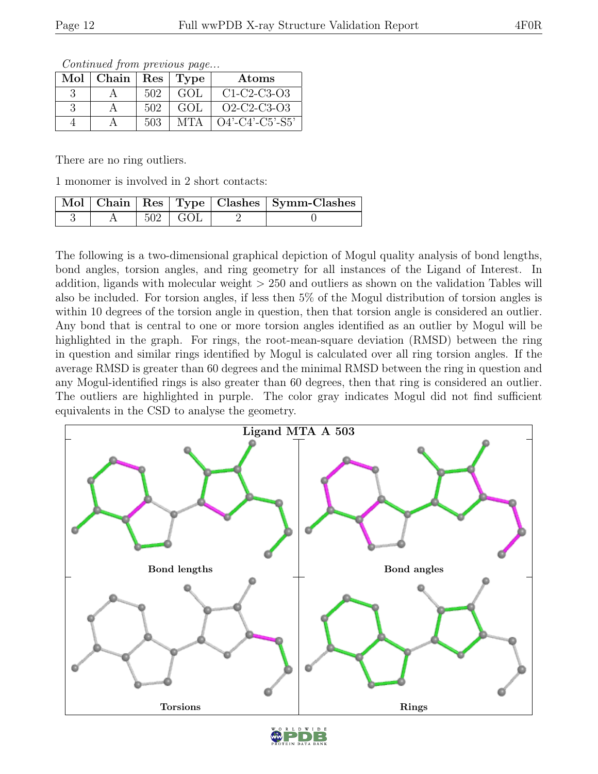| Mol | Chain |     | Res   Type | Atoms              |
|-----|-------|-----|------------|--------------------|
|     |       | 502 | GOL        | $C1-C2-C3-O3$      |
|     |       | 502 | GOL        | $O2-C2-C3-O3$      |
|     |       | 503 | <b>MTA</b> | $O4'$ -C4'-C5'-S5' |

Continued from previous page...

There are no ring outliers.

1 monomer is involved in 2 short contacts:

|  |                       | Mol   Chain   Res   Type   Clashes   Symm-Clashes |
|--|-----------------------|---------------------------------------------------|
|  | $502 \mid \text{GOL}$ |                                                   |

The following is a two-dimensional graphical depiction of Mogul quality analysis of bond lengths, bond angles, torsion angles, and ring geometry for all instances of the Ligand of Interest. In addition, ligands with molecular weight > 250 and outliers as shown on the validation Tables will also be included. For torsion angles, if less then 5% of the Mogul distribution of torsion angles is within 10 degrees of the torsion angle in question, then that torsion angle is considered an outlier. Any bond that is central to one or more torsion angles identified as an outlier by Mogul will be highlighted in the graph. For rings, the root-mean-square deviation (RMSD) between the ring in question and similar rings identified by Mogul is calculated over all ring torsion angles. If the average RMSD is greater than 60 degrees and the minimal RMSD between the ring in question and any Mogul-identified rings is also greater than 60 degrees, then that ring is considered an outlier. The outliers are highlighted in purple. The color gray indicates Mogul did not find sufficient equivalents in the CSD to analyse the geometry.



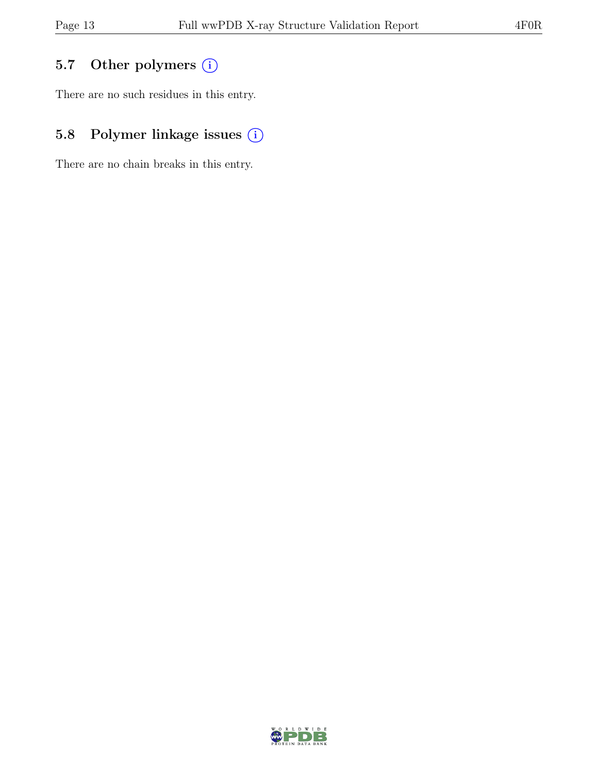## 5.7 Other polymers (i)

There are no such residues in this entry.

# 5.8 Polymer linkage issues  $(i)$

There are no chain breaks in this entry.

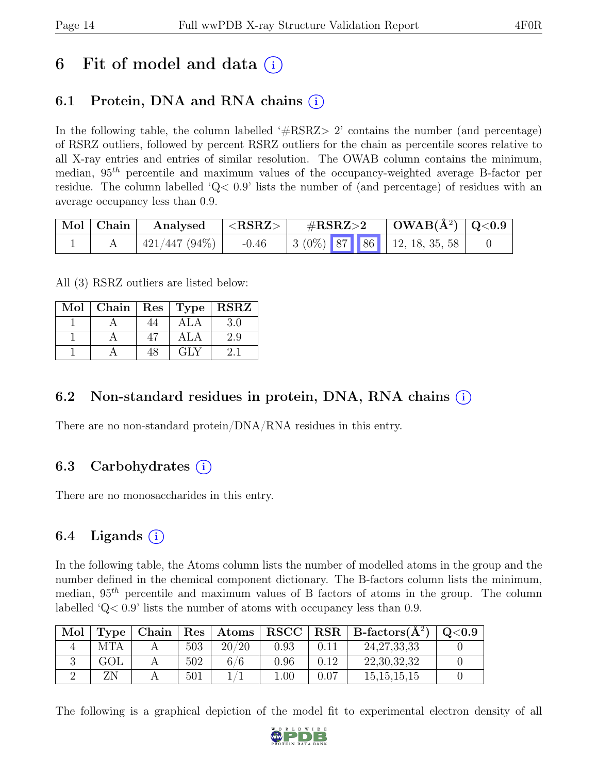# 6 Fit of model and data  $(i)$

### 6.1 Protein, DNA and RNA chains  $(i)$

In the following table, the column labelled  $#RSRZ>2$  contains the number (and percentage) of RSRZ outliers, followed by percent RSRZ outliers for the chain as percentile scores relative to all X-ray entries and entries of similar resolution. The OWAB column contains the minimum, median,  $95<sup>th</sup>$  percentile and maximum values of the occupancy-weighted average B-factor per residue. The column labelled 'Q< 0.9' lists the number of (and percentage) of residues with an average occupancy less than 0.9.

| $\mid$ Mol $\mid$ Chain $\mid$ | Analysed                  | $ \langle \mathrm{RSRZ} \rangle $ | $\rm \#RSRZ{>}2$ | $\mid$ OWAB(Å <sup>2</sup> ) $\mid$ Q<0.9 $\mid$ |  |
|--------------------------------|---------------------------|-----------------------------------|------------------|--------------------------------------------------|--|
|                                | $\pm 421/447$ (94%) $\pm$ | $-0.46$                           |                  | $\vert$ 3 (0%) 87 86 12, 18, 35, 58              |  |

All (3) RSRZ outliers are listed below:

| Mol |    |     | Chain   $\text{Res}$   $\text{Type}$   $\text{RSRZ}$ |
|-----|----|-----|------------------------------------------------------|
|     |    | ALA | 3 0                                                  |
|     |    | ALA | 2.9                                                  |
|     | 48 | GLY |                                                      |

### 6.2 Non-standard residues in protein, DNA, RNA chains (i)

There are no non-standard protein/DNA/RNA residues in this entry.

### 6.3 Carbohydrates  $(i)$

There are no monosaccharides in this entry.

### 6.4 Ligands  $(i)$

In the following table, the Atoms column lists the number of modelled atoms in the group and the number defined in the chemical component dictionary. The B-factors column lists the minimum, median,  $95<sup>th</sup>$  percentile and maximum values of B factors of atoms in the group. The column labelled 'Q< 0.9' lists the number of atoms with occupancy less than 0.9.

| Mol | Type       |     | $\vert$ Chain $\vert$ Res $\vert$ Atoms |      |      | $ $ RSCC $ $ RSR $ $ B-factors( $A^2$ ) | $\mathrm{Q}{<}0.9$ |
|-----|------------|-----|-----------------------------------------|------|------|-----------------------------------------|--------------------|
|     | <b>MTA</b> | 503 | 20/20                                   | 0.93 | 0.11 | 24, 27, 33, 33                          |                    |
|     | GOL        | 502 | 6/6                                     | 0.96 | 0.12 | 22, 30, 32, 32                          |                    |
|     |            | 501 |                                         | .00. | 0.07 | 15, 15, 15, 15                          |                    |

The following is a graphical depiction of the model fit to experimental electron density of all